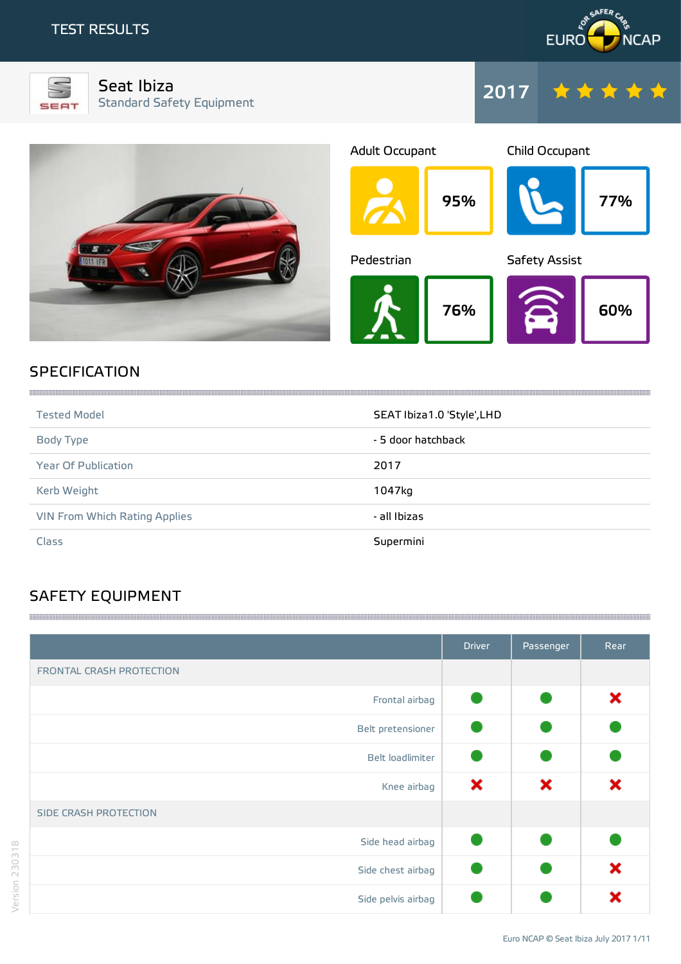## TEST RESULTS





Seat Ibiza Standard Safety Equipment





# **SPECIFICATION**

| <b>Tested Model</b>                  | SEAT Ibiza1.0 'Style', LHD |
|--------------------------------------|----------------------------|
| Body Type                            | - 5 door hatchback         |
| <b>Year Of Publication</b>           | 2017                       |
| Kerb Weight                          | 1047kg                     |
| <b>VIN From Which Rating Applies</b> | - all Ibizas               |
| Class                                | Supermini                  |

# SAFETY EQUIPMENT

|                          | <b>Driver</b> | Passenger | Rear |
|--------------------------|---------------|-----------|------|
| FRONTAL CRASH PROTECTION |               |           |      |
| Frontal airbag           |               |           | ×    |
| Belt pretensioner        |               |           |      |
| Belt loadlimiter         |               |           |      |
| Knee airbag              | ×             | ×         | ×    |
| SIDE CRASH PROTECTION    |               |           |      |
| Side head airbag         |               |           |      |
| Side chest airbag        |               |           | ×    |
| Side pelvis airbag       |               |           |      |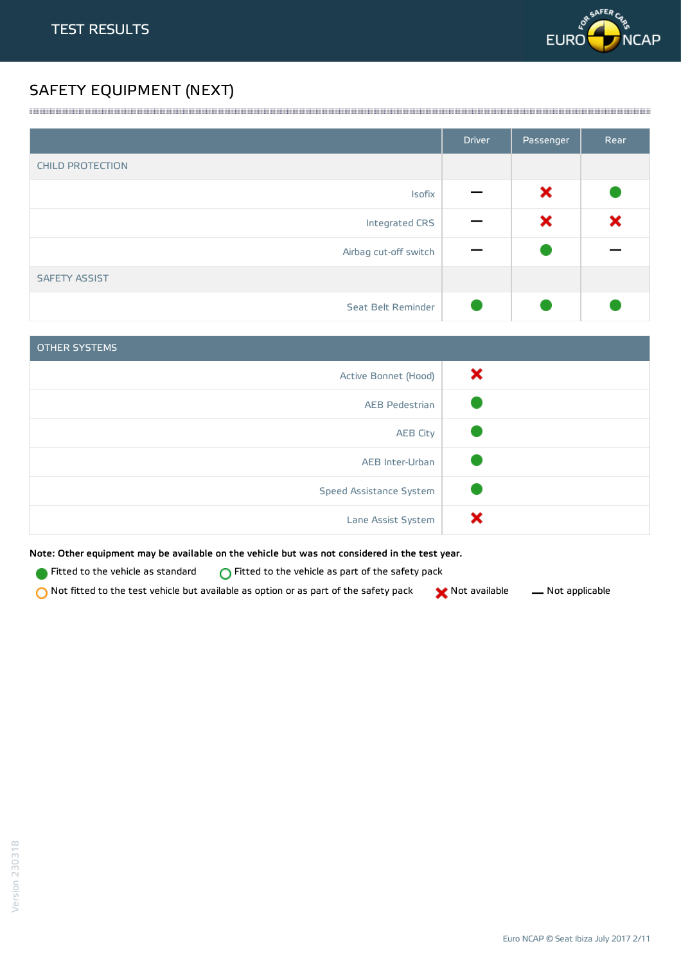

# SAFETY EQUIPMENT (NEXT)

|                         | <b>Driver</b> | Passenger | Rear |
|-------------------------|---------------|-----------|------|
| <b>CHILD PROTECTION</b> |               |           |      |
| Isofix                  |               | ×         |      |
| Integrated CRS          |               | ×         | ×    |
| Airbag cut-off switch   |               |           |      |
| <b>SAFETY ASSIST</b>    |               |           |      |
| Seat Belt Reminder      |               |           |      |

<u> 1989 - Andrea Stadt Stadt Stadt Stadt Stadt Stadt Stadt Stadt Stadt Stadt Stadt Stadt Stadt Stadt Stadt Stadt Stadt Stadt Stadt Stadt Stadt Stadt Stadt Stadt Stadt Stadt Stadt Stadt Stadt Stadt Stadt Stadt Stadt Stadt St</u>

| <b>OTHER SYSTEMS</b>    |   |
|-------------------------|---|
| Active Bonnet (Hood)    | × |
| <b>AEB Pedestrian</b>   |   |
| <b>AEB City</b>         |   |
| AEB Inter-Urban         |   |
| Speed Assistance System |   |
| Lane Assist System      |   |

Note: Other equipment may be available on the vehicle but was not considered in the test year.

Fitted to the vehicle as standard  $\bigcirc$  Fitted to the vehicle as part of the safety pack

 $\bigcirc$  Not fitted to the test vehicle but available as option or as part of the safety pack  $\bigcirc$  Not available  $\qquad$  Not applicable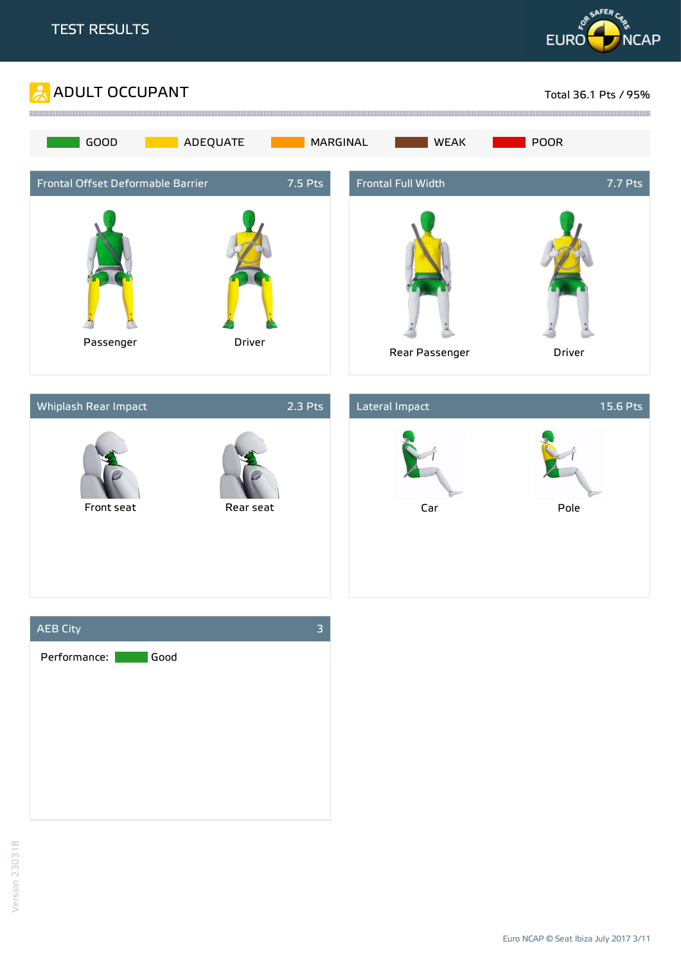







Euro NCAP © Seat Ibiza July 2017 3/11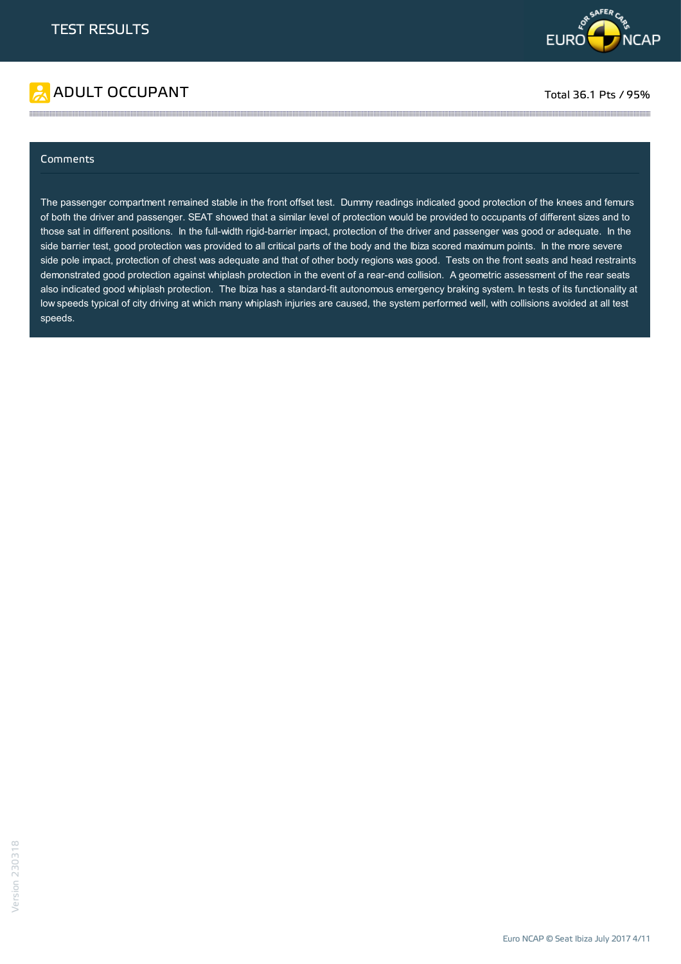

# ADULT OCCUPANT TO A RESERVE TO A RESERVE TO A RESERVE TOTAL TOTAL 36.1 Pts / 95%

### Comments

The passenger compartment remained stable in the front offset test. Dummy readings indicated good protection of the knees and femurs of both the driver and passenger. SEAT showed that a similar level of protection would be provided to occupants of different sizes and to those sat in different positions. In the full-width rigid-barrier impact, protection of the driver and passenger was good or adequate. In the side barrier test, good protection was provided to all critical parts of the body and the Ibiza scored maximum points. In the more severe side pole impact, protection of chest was adequate and that of other body regions was good. Tests on the front seats and head restraints demonstrated good protection against whiplash protection in the event of a rear-end collision. A geometric assessment of the rear seats also indicated good whiplash protection. The Ibiza has a standard-fit autonomous emergency braking system. In tests of its functionality at low speeds typical of city driving at which many whiplash injuries are caused, the system performed well, with collisions avoided at all test speeds.

the contract of the contract of the contract of the contract of the contract of the contract of the contract of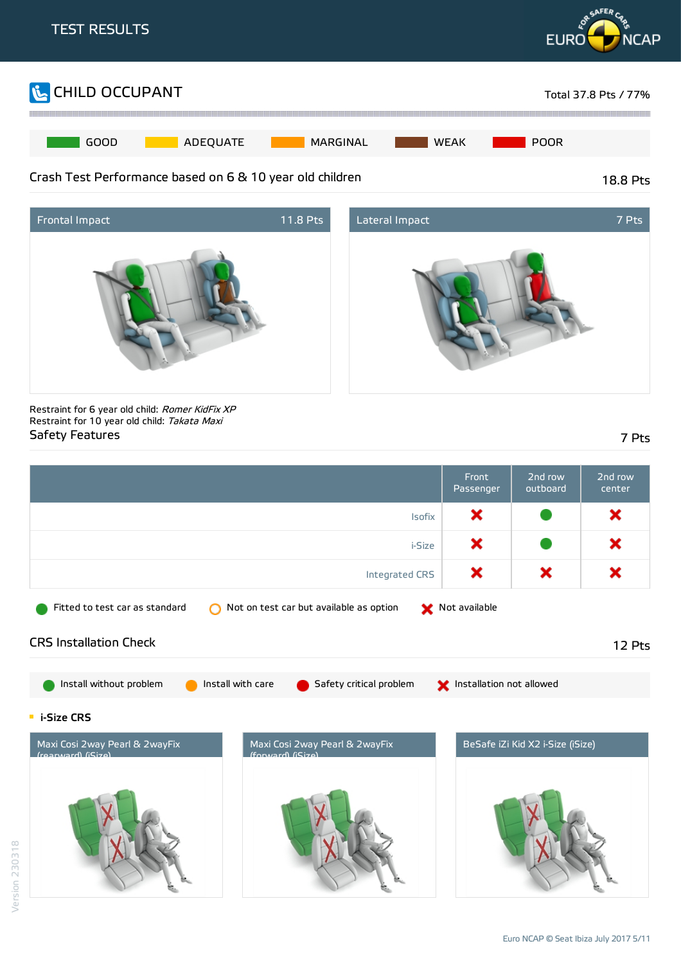





Restraint for 6 year old child: Romer KidFix XP Restraint for 10 year old child: Takata Maxi Safety Features 7 Pts

|                                                                                                            | Front<br>Passenger       | 2nd row<br>outboard              | 2nd row<br>center |
|------------------------------------------------------------------------------------------------------------|--------------------------|----------------------------------|-------------------|
| <b>Isofix</b>                                                                                              | ×                        |                                  | ×                 |
| i-Size                                                                                                     | ×                        |                                  | ×                 |
| Integrated CRS                                                                                             | ×                        | ×                                | ×                 |
| Fitted to test car as standard<br>Not on test car but available as option                                  | Not available            |                                  |                   |
| <b>CRS Installation Check</b>                                                                              |                          |                                  | 12 Pts            |
| Install without problem<br>Install with care<br>Safety critical problem                                    | Installation not allowed |                                  |                   |
| <b>E</b> i-Size CRS                                                                                        |                          |                                  |                   |
| Maxi Cosi 2way Pearl & 2wayFix<br>Maxi Cosi 2way Pearl & 2wayFix<br>(rearward) (iSize)<br>(forward) (Size) |                          | BeSafe iZi Kid X2 i-Size (iSize) |                   |
|                                                                                                            |                          |                                  |                   |

Version 230318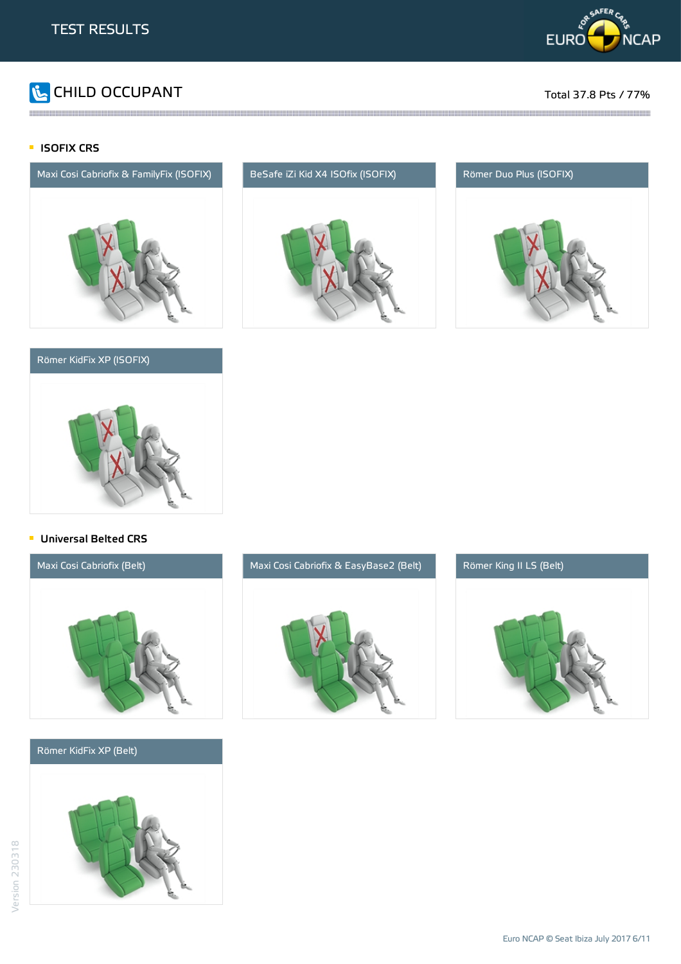

# **The CHILD OCCUPANT** Total 37.8 Pts / 77%

### **ISOFIX CRS**



### Römer KidFix XP (ISOFIX)



the contract of the contract of the contract of the contract of the contract of the contract of the contract of





### **Universal Belted CRS**



### Römer KidFix XP (Belt)





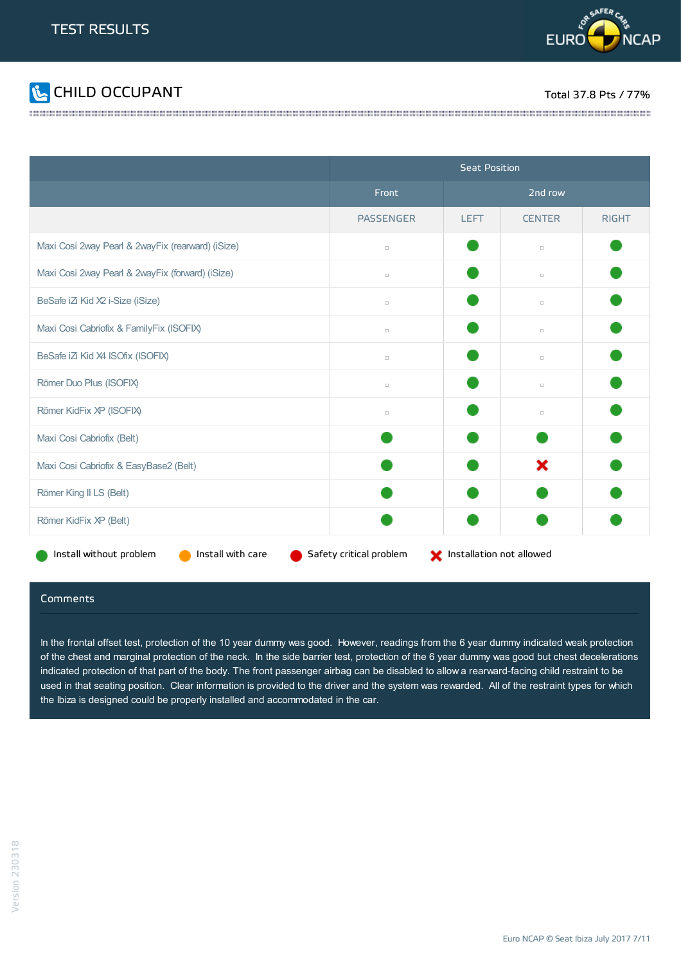



|                                                   | <b>Seat Position</b>    |                          |               |              |
|---------------------------------------------------|-------------------------|--------------------------|---------------|--------------|
|                                                   | Front                   | 2nd row                  |               |              |
|                                                   | <b>PASSENGER</b>        | <b>LEFT</b>              | <b>CENTER</b> | <b>RIGHT</b> |
| Maxi Cosi 2way Pearl & 2wayFix (rearward) (iSize) | $\Box$                  |                          | $\Box$        |              |
| Maxi Cosi 2way Pearl & 2wayFix (forward) (iSize)  | $\Box$                  |                          | $\Box$        |              |
| BeSafe iZi Kid X2 i-Size (iSize)                  | $\Box$                  |                          | $\Box$        |              |
| Maxi Cosi Cabriofix & FamilyFix (ISOFIX)          | $\Box$                  |                          | $\Box$        |              |
| BeSafe iZi Kid X4 ISOfix (ISOFIX)                 | $\Box$                  |                          | $\Box$        |              |
| Römer Duo Plus (ISOFIX)                           | $\Box$                  |                          | $\Box$        |              |
| Römer KidFix XP (ISOFIX)                          | $\Box$                  |                          | $\Box$        |              |
| Maxi Cosi Cabriofix (Belt)                        |                         |                          |               |              |
| Maxi Cosi Cabriofix & EasyBase2 (Belt)            |                         |                          | ×             |              |
| Römer King II LS (Belt)                           |                         |                          |               |              |
| Römer KidFix XP (Belt)                            |                         |                          |               |              |
| Install without problem<br>Install with care      | Safety critical problem | Installation not allowed |               |              |

### Comments

In the frontal offset test, protection of the 10 year dummy was good. However, readings from the 6 year dummy indicated weak protection of the chest and marginal protection of the neck. In the side barrier test, protection of the 6 year dummy was good but chest decelerations indicated protection of that part of the body. The front passenger airbag can be disabled to allow a rearward-facing child restraint to be used in that seating position. Clear information is provided to the driver and the system was rewarded. All of the restraint types for which the Ibiza is designed could be properly installed and accommodated in the car.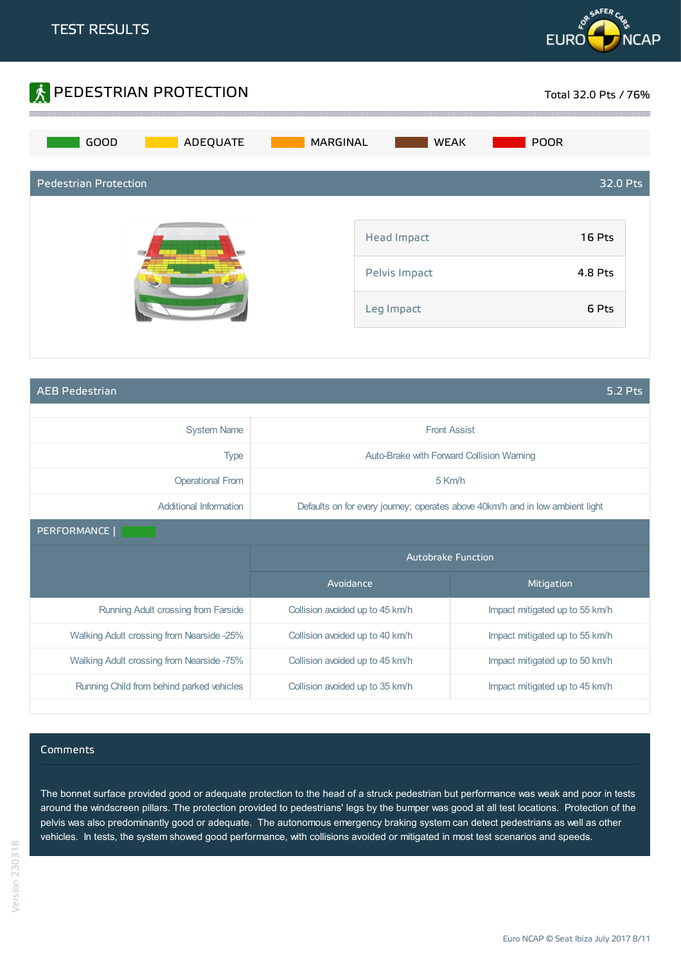



AEB Pedestrian 5.2 Pts

| <b>System Name</b>                        | <b>Front Assist</b>             |                                                                               |  |
|-------------------------------------------|---------------------------------|-------------------------------------------------------------------------------|--|
| <b>Type</b>                               |                                 | Auto-Brake with Forward Collision Warning                                     |  |
| <b>Operational From</b>                   |                                 | 5 Km/h                                                                        |  |
| Additional Information                    |                                 | Defaults on for every journey; operates above 40km/h and in low ambient light |  |
| PERFORMANCE                               |                                 |                                                                               |  |
|                                           | <b>Autobrake Function</b>       |                                                                               |  |
|                                           | Avoidance<br>Mitigation         |                                                                               |  |
| Running Adult crossing from Farside       | Collision avoided up to 45 km/h | Impact mitigated up to 55 km/h                                                |  |
| Walking Adult crossing from Nearside -25% | Collision avoided up to 40 km/h | Impact mitigated up to 55 km/h                                                |  |
|                                           |                                 |                                                                               |  |
| Walking Adult crossing from Nearside -75% | Collision avoided up to 45 km/h | Impact mitigated up to 50 km/h                                                |  |

### Comments

The bonnet surface provided good or adequate protection to the head of a struck pedestrian but performance was weak and poor in tests around the windscreen pillars. The protection provided to pedestrians' legs by the bumper was good at all test locations. Protection of the pelvis was also predominantly good or adequate. The autonomous emergency braking system can detect pedestrians as well as other vehicles. In tests, the system showed good performance, with collisions avoided or mitigated in most test scenarios and speeds.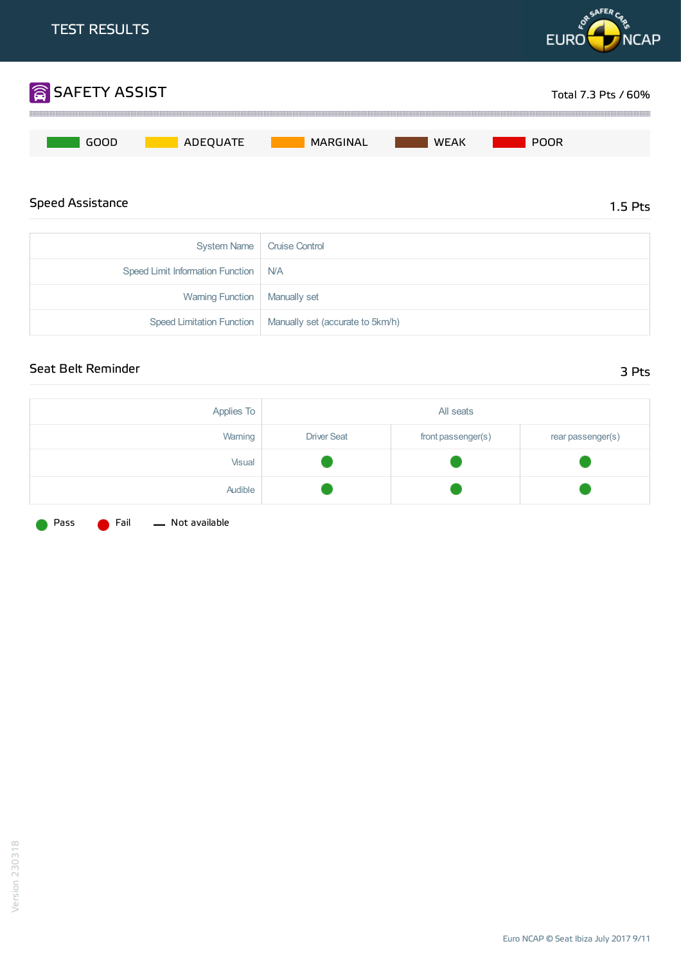

| Speed Limit Information Function   N/A |                                                              |
|----------------------------------------|--------------------------------------------------------------|
| Warning Function   Manually set        |                                                              |
|                                        | Speed Limitation Function   Manually set (accurate to 5km/h) |

## Seat Belt Reminder 3 Pts

| Applies To |                    | All seats          |                   |
|------------|--------------------|--------------------|-------------------|
| Warning    | <b>Driver Seat</b> | front passenger(s) | rear passenger(s) |
| Visual     |                    |                    |                   |
| Audible    |                    |                    |                   |

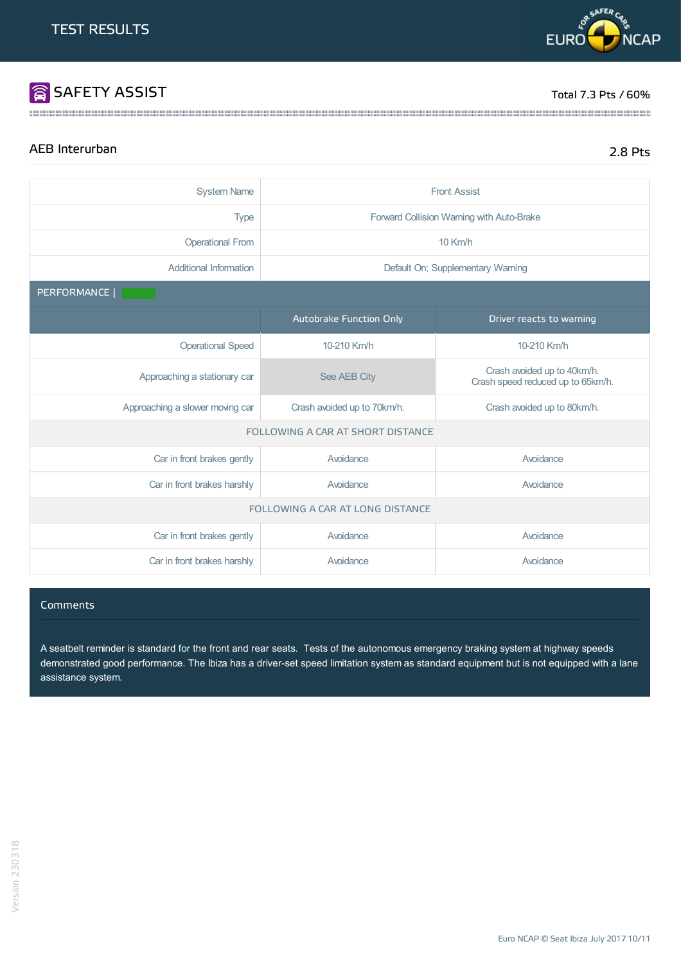# SAFETY ASSIST TOTAL TO A REPORT TO LARGE THE SERVE OF THE SERVE OF THE SERVE OF THE SERVE OF THE SERVE OF THE SERVE OF THE SERVE OF THE SERVE OF THE SERVE OF THE SERVE OF THE SERVE OF THE SERVE OF THE SERVE OF THE SERVE OF

**PREAFERC** 

**EURO** 

# AEB Interurban 2.8 Pts

**NCAP** 

| <b>System Name</b>               | <b>Front Assist</b>                                        |                                                                  |  |
|----------------------------------|------------------------------------------------------------|------------------------------------------------------------------|--|
| <b>Type</b>                      |                                                            | Forward Collision Warning with Auto-Brake                        |  |
| <b>Operational From</b>          |                                                            | $10$ Km/h                                                        |  |
| <b>Additional Information</b>    |                                                            | Default On; Supplementary Warning                                |  |
| PERFORMANCE                      |                                                            |                                                                  |  |
|                                  | Autobrake Function Only                                    | Driver reacts to warning                                         |  |
| <b>Operational Speed</b>         | 10-210 Km/h                                                | 10-210 Km/h                                                      |  |
| Approaching a stationary car     | See AEB City                                               | Crash avoided up to 40km/h.<br>Crash speed reduced up to 65km/h. |  |
| Approaching a slower moving car  | Crash avoided up to 80km/h.<br>Crash avoided up to 70km/h. |                                                                  |  |
|                                  | FOLLOWING A CAR AT SHORT DISTANCE                          |                                                                  |  |
| Car in front brakes gently       | Avoidance                                                  | Avoidance                                                        |  |
| Car in front brakes harshly      | Avoidance                                                  | Avoidance                                                        |  |
| FOLLOWING A CAR AT LONG DISTANCE |                                                            |                                                                  |  |
| Car in front brakes gently       | Avoidance                                                  | Avoidance                                                        |  |
| Car in front brakes harshly      | Avoidance                                                  | Avoidance                                                        |  |

the contract of the contract of the contract of the contract of the contract of the contract of the contract of

### Comments

A seatbelt reminder is standard for the front and rear seats. Tests of the autonomous emergency braking system at highway speeds demonstrated good performance. The Ibiza has a driver-set speed limitation system as standard equipment but is not equipped with a lane assistance system.